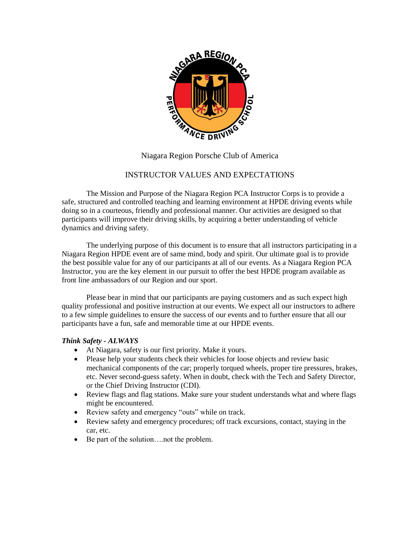

# Niagara Region Porsche Club of America

# INSTRUCTOR VALUES AND EXPECTATIONS

The Mission and Purpose of the Niagara Region PCA Instructor Corps is to provide a safe, structured and controlled teaching and learning environment at HPDE driving events while doing so in a courteous, friendly and professional manner. Our activities are designed so that participants will improve their driving skills, by acquiring a better understanding of vehicle dynamics and driving safety.

The underlying purpose of this document is to ensure that all instructors participating in a Niagara Region HPDE event are of same mind, body and spirit. Our ultimate goal is to provide the best possible value for any of our participants at all of our events. As a Niagara Region PCA Instructor, you are the key element in our pursuit to offer the best HPDE program available as front line ambassadors of our Region and our sport.

Please bear in mind that our participants are paying customers and as such expect high quality professional and positive instruction at our events. We expect all our instructors to adhere to a few simple guidelines to ensure the success of our events and to further ensure that all our participants have a fun, safe and memorable time at our HPDE events.

### *Think Safety - ALWAYS*

- At Niagara, safety is our first priority. Make it yours.
- Please help your students check their vehicles for loose objects and review basic mechanical components of the car; properly torqued wheels, proper tire pressures, brakes, etc. Never second-guess safety. When in doubt, check with the Tech and Safety Director, or the Chief Driving Instructor (CDI).
- Review flags and flag stations. Make sure your student understands what and where flags might be encountered.
- Review safety and emergency "outs" while on track.
- Review safety and emergency procedures; off track excursions, contact, staying in the car, etc.
- Be part of the solution….not the problem.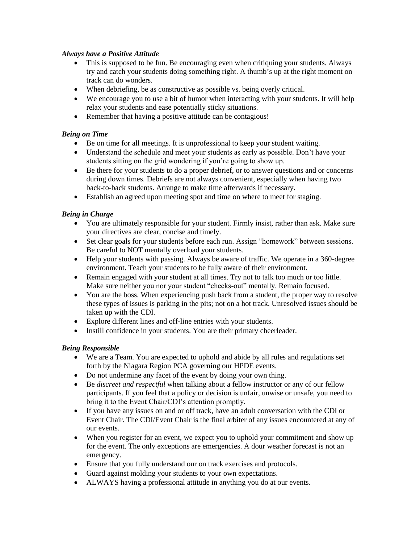## *Always have a Positive Attitude*

- This is supposed to be fun. Be encouraging even when critiquing your students. Always try and catch your students doing something right. A thumb's up at the right moment on track can do wonders.
- When debriefing, be as constructive as possible vs. being overly critical.
- We encourage you to use a bit of humor when interacting with your students. It will help relax your students and ease potentially sticky situations.
- Remember that having a positive attitude can be contagious!

# *Being on Time*

- Be on time for all meetings. It is unprofessional to keep your student waiting.
- Understand the schedule and meet your students as early as possible. Don't have your students sitting on the grid wondering if you're going to show up.
- Be there for your students to do a proper debrief, or to answer questions and or concerns during down times. Debriefs are not always convenient, especially when having two back-to-back students. Arrange to make time afterwards if necessary.
- Establish an agreed upon meeting spot and time on where to meet for staging.

## *Being in Charge*

- You are ultimately responsible for your student. Firmly insist, rather than ask. Make sure your directives are clear, concise and timely.
- Set clear goals for your students before each run. Assign "homework" between sessions. Be careful to NOT mentally overload your students.
- Help your students with passing. Always be aware of traffic. We operate in a 360-degree environment. Teach your students to be fully aware of their environment.
- Remain engaged with your student at all times. Try not to talk too much or too little. Make sure neither you nor your student "checks-out" mentally. Remain focused.
- You are the boss. When experiencing push back from a student, the proper way to resolve these types of issues is parking in the pits; not on a hot track. Unresolved issues should be taken up with the CDI.
- Explore different lines and off-line entries with your students.
- Instill confidence in your students. You are their primary cheerleader.

### *Being Responsible*

- We are a Team. You are expected to uphold and abide by all rules and regulations set forth by the Niagara Region PCA governing our HPDE events.
- Do not undermine any facet of the event by doing your own thing.
- Be *discreet and respectful* when talking about a fellow instructor or any of our fellow participants. If you feel that a policy or decision is unfair, unwise or unsafe, you need to bring it to the Event Chair/CDI's attention promptly.
- If you have any issues on and or off track, have an adult conversation with the CDI or Event Chair. The CDI/Event Chair is the final arbiter of any issues encountered at any of our events.
- When you register for an event, we expect you to uphold your commitment and show up for the event. The only exceptions are emergencies. A dour weather forecast is not an emergency.
- Ensure that you fully understand our on track exercises and protocols.
- Guard against molding your students to your own expectations.
- ALWAYS having a professional attitude in anything you do at our events.